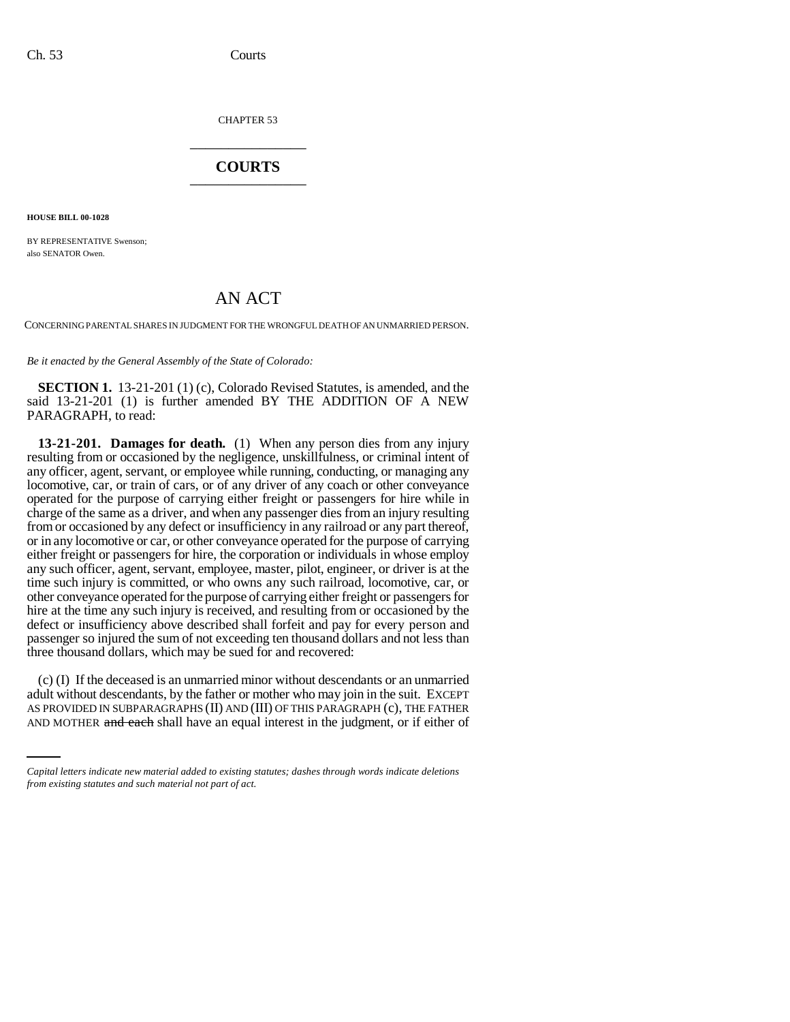CHAPTER 53 \_\_\_\_\_\_\_\_\_\_\_\_\_\_\_

## **COURTS** \_\_\_\_\_\_\_\_\_\_\_\_\_\_\_

**HOUSE BILL 00-1028** 

BY REPRESENTATIVE Swenson; also SENATOR Owen.

## AN ACT

CONCERNING PARENTAL SHARES IN JUDGMENT FOR THE WRONGFUL DEATH OF AN UNMARRIED PERSON.

*Be it enacted by the General Assembly of the State of Colorado:*

**SECTION 1.** 13-21-201 (1) (c), Colorado Revised Statutes, is amended, and the said 13-21-201 (1) is further amended BY THE ADDITION OF A NEW PARAGRAPH, to read:

**13-21-201. Damages for death.** (1) When any person dies from any injury resulting from or occasioned by the negligence, unskillfulness, or criminal intent of any officer, agent, servant, or employee while running, conducting, or managing any locomotive, car, or train of cars, or of any driver of any coach or other conveyance operated for the purpose of carrying either freight or passengers for hire while in charge of the same as a driver, and when any passenger dies from an injury resulting from or occasioned by any defect or insufficiency in any railroad or any part thereof, or in any locomotive or car, or other conveyance operated for the purpose of carrying either freight or passengers for hire, the corporation or individuals in whose employ any such officer, agent, servant, employee, master, pilot, engineer, or driver is at the time such injury is committed, or who owns any such railroad, locomotive, car, or other conveyance operated for the purpose of carrying either freight or passengers for hire at the time any such injury is received, and resulting from or occasioned by the defect or insufficiency above described shall forfeit and pay for every person and passenger so injured the sum of not exceeding ten thousand dollars and not less than three thousand dollars, which may be sued for and recovered:

 $\chi$  adult without descendants, by the father or mother who may join in the suit. EXCEPT (c) (I) If the deceased is an unmarried minor without descendants or an unmarried AS PROVIDED IN SUBPARAGRAPHS (II) AND (III) OF THIS PARAGRAPH (c), THE FATHER AND MOTHER and each shall have an equal interest in the judgment, or if either of

*Capital letters indicate new material added to existing statutes; dashes through words indicate deletions from existing statutes and such material not part of act.*